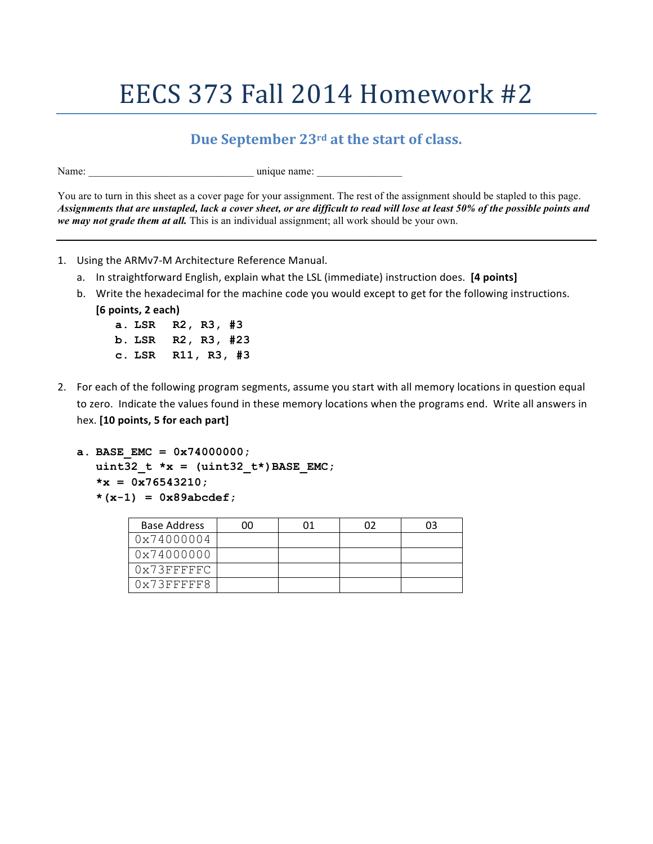## EECS 373 Fall 2014 Homework #2

## **Due September** 23<sup>rd</sup> at the start of class.

Name:  $\Box$ 

You are to turn in this sheet as a cover page for your assignment. The rest of the assignment should be stapled to this page. *Assignments that are unstapled, lack a cover sheet, or are difficult to read will lose at least 50% of the possible points and we may not grade them at all.* This is an individual assignment; all work should be your own.

- 1. Using the ARMv7-M Architecture Reference Manual.
	- a. In straightforward English, explain what the LSL (immediate) instruction does. [4 points]
	- b. Write the hexadecimal for the machine code you would except to get for the following instructions.
		- **[6 points, 2 each)**
			- **a. LSR R2, R3, #3 b. LSR R2, R3, #23 c. LSR R11, R3, #3**
- 2. For each of the following program segments, assume you start with all memory locations in question equal to zero. Indicate the values found in these memory locations when the programs end. Write all answers in hex. **[10 points, 5 for each part]**

```
a. BASE_EMC = 0x74000000;
  uint32 t *x = (uint32 t*) BASE EMC;*x = 0x76543210;
  *(x-1) = 0x89abcdef;
```

| <b>Base Address</b>  | าค |  | 03 |
|----------------------|----|--|----|
| 0x74000004           |    |  |    |
| 0x74000000           |    |  |    |
| $0x73$ FFFFFC        |    |  |    |
| $0 \times 73$ FFFFFR |    |  |    |